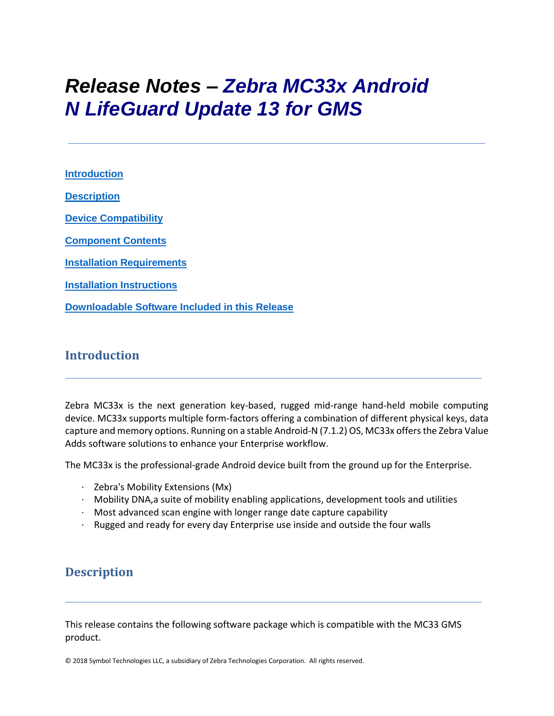# *Release Notes – Zebra MC33x Android N LifeGuard Update 13 for GMS*

**[Introduction](#page-0-0) [Description](#page-0-1) [Device Compatibility](#page-10-0) [Component Contents](#page-1-0) [Installation Requirements](#page-12-0) [Installation Instructions](#page-13-0) [Downloadable Software Included in this Release](#page-15-0)**

# <span id="page-0-0"></span>**Introduction**

Zebra MC33x is the next generation key-based, rugged mid-range hand-held mobile computing device. MC33x supports multiple form-factors offering a combination of different physical keys, data capture and memory options. Running on a stable Android-N (7.1.2) OS, MC33x offers the Zebra Value Adds software solutions to enhance your Enterprise workflow.

The MC33x is the professional-grade Android device built from the ground up for the Enterprise.

- · Zebra's Mobility Extensions (Mx)
- · Mobility DNA,a suite of mobility enabling applications, development tools and utilities
- $\cdot$  Most advanced scan engine with longer range date capture capability
- · Rugged and ready for every day Enterprise use inside and outside the four walls

# <span id="page-0-1"></span>**Description**

This release contains the following software package which is compatible with the MC33 GMS product.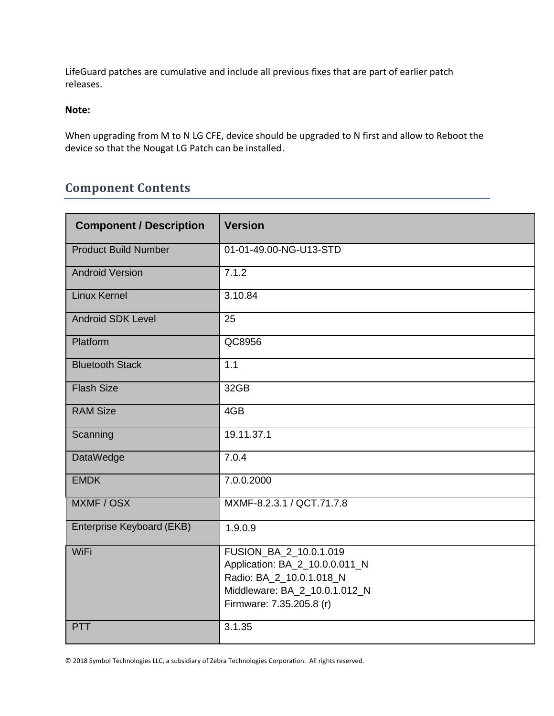LifeGuard patches are cumulative and include all previous fixes that are part of earlier patch releases.

### **Note:**

When upgrading from M to N LG CFE, device should be upgraded to N first and allow to Reboot the device so that the Nougat LG Patch can be installed.

# <span id="page-1-0"></span>**Component Contents**

| <b>Component / Description</b> | <b>Version</b>                                                                                                                                    |  |
|--------------------------------|---------------------------------------------------------------------------------------------------------------------------------------------------|--|
| <b>Product Build Number</b>    | 01-01-49.00-NG-U13-STD                                                                                                                            |  |
| <b>Android Version</b>         | 7.1.2                                                                                                                                             |  |
| <b>Linux Kernel</b>            | 3.10.84                                                                                                                                           |  |
| <b>Android SDK Level</b>       | 25                                                                                                                                                |  |
| Platform                       | QC8956                                                                                                                                            |  |
| <b>Bluetooth Stack</b>         | 1.1                                                                                                                                               |  |
| <b>Flash Size</b>              | 32GB                                                                                                                                              |  |
| <b>RAM Size</b>                | 4GB                                                                                                                                               |  |
| Scanning                       | 19.11.37.1                                                                                                                                        |  |
| DataWedge                      | 7.0.4                                                                                                                                             |  |
| <b>EMDK</b>                    | 7.0.0.2000                                                                                                                                        |  |
| MXMF / OSX                     | MXMF-8.2.3.1 / QCT.71.7.8                                                                                                                         |  |
| Enterprise Keyboard (EKB)      | 1.9.0.9                                                                                                                                           |  |
| WiFi                           | FUSION_BA_2_10.0.1.019<br>Application: BA_2_10.0.0.011_N<br>Radio: BA_2_10.0.1.018_N<br>Middleware: BA_2_10.0.1.012_N<br>Firmware: 7.35.205.8 (r) |  |
| <b>PTT</b>                     | 3.1.35                                                                                                                                            |  |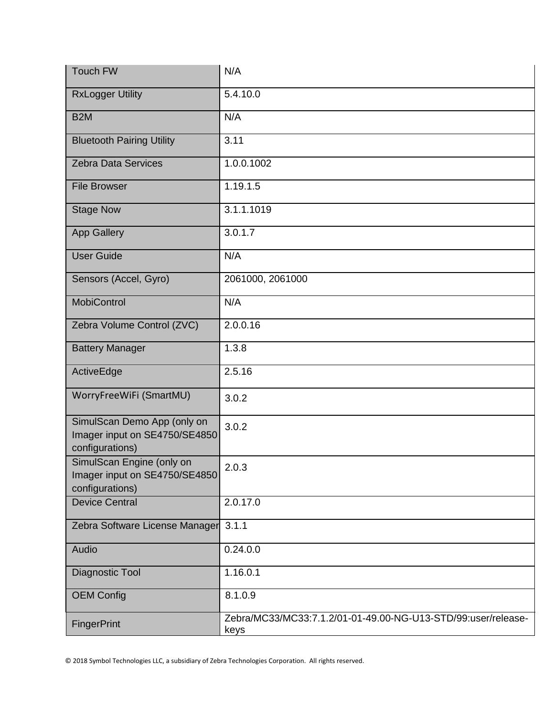| Touch FW                                                                        | N/A                                                                   |
|---------------------------------------------------------------------------------|-----------------------------------------------------------------------|
| <b>RxLogger Utility</b>                                                         | 5.4.10.0                                                              |
| B <sub>2</sub> M                                                                | N/A                                                                   |
| <b>Bluetooth Pairing Utility</b>                                                | 3.11                                                                  |
| <b>Zebra Data Services</b>                                                      | 1.0.0.1002                                                            |
| <b>File Browser</b>                                                             | 1.19.1.5                                                              |
| <b>Stage Now</b>                                                                | 3.1.1.1019                                                            |
| <b>App Gallery</b>                                                              | 3.0.1.7                                                               |
| <b>User Guide</b>                                                               | N/A                                                                   |
| Sensors (Accel, Gyro)                                                           | 2061000, 2061000                                                      |
| <b>MobiControl</b>                                                              | N/A                                                                   |
| Zebra Volume Control (ZVC)                                                      | 2.0.0.16                                                              |
| <b>Battery Manager</b>                                                          | 1.3.8                                                                 |
| ActiveEdge                                                                      | 2.5.16                                                                |
| WorryFreeWiFi (SmartMU)                                                         | 3.0.2                                                                 |
| SimulScan Demo App (only on<br>Imager input on SE4750/SE4850<br>configurations) | 3.0.2                                                                 |
| SimulScan Engine (only on<br>Imager input on SE4750/SE4850<br>configurations)   | 2.0.3                                                                 |
| <b>Device Central</b>                                                           | 2.0.17.0                                                              |
| Zebra Software License Manager                                                  | 3.1.1                                                                 |
| Audio                                                                           | 0.24.0.0                                                              |
| Diagnostic Tool                                                                 | 1.16.0.1                                                              |
| <b>OEM Config</b>                                                               | 8.1.0.9                                                               |
| FingerPrint                                                                     | Zebra/MC33/MC33:7.1.2/01-01-49.00-NG-U13-STD/99:user/release-<br>keys |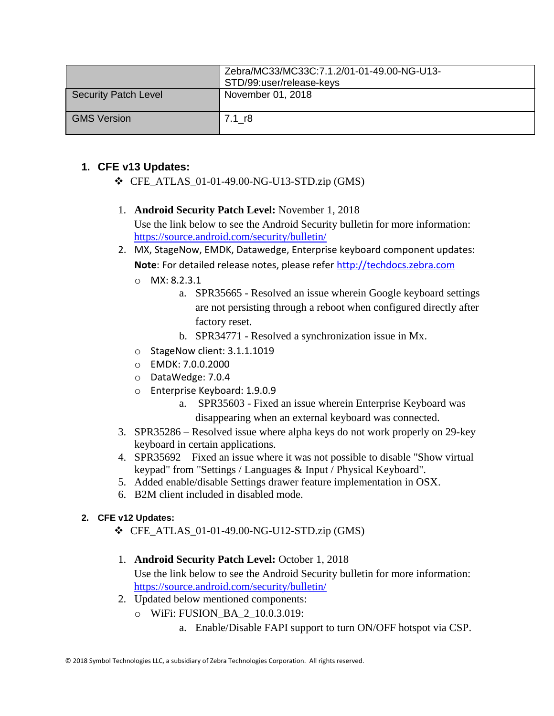|                      | Zebra/MC33/MC33C:7.1.2/01-01-49.00-NG-U13-<br>STD/99:user/release-keys |
|----------------------|------------------------------------------------------------------------|
| Security Patch Level | November 01, 2018                                                      |
| <b>GMS Version</b>   | 7.1 r8                                                                 |

# **1. CFE v13 Updates:**

- ❖ CFE\_ATLAS\_01-01-49.00-NG-U13-STD.zip (GMS)
- 1. **Android Security Patch Level:** November 1, 2018 Use the link below to see the Android Security bulletin for more information: <https://source.android.com/security/bulletin/>
- 2. MX, StageNow, EMDK, Datawedge, Enterprise keyboard component updates: **Note**: For detailed release notes, please refer [http://techdocs.zebra.com](http://techdocs.zebra.com/)
	- o MX: 8.2.3.1
		- a. SPR35665 Resolved an issue wherein Google keyboard settings are not persisting through a reboot when configured directly after factory reset.
		- b. SPR34771 Resolved a synchronization issue in Mx.
	- o StageNow client: 3.1.1.1019
	- o EMDK: 7.0.0.2000
	- o DataWedge: 7.0.4
	- o Enterprise Keyboard: 1.9.0.9
		- a. SPR35603 Fixed an issue wherein Enterprise Keyboard was disappearing when an external keyboard was connected.
- 3. SPR35286 Resolved issue where alpha keys do not work properly on 29-key keyboard in certain applications.
- 4. SPR35692 Fixed an issue where it was not possible to disable "Show virtual keypad" from "Settings / Languages & Input / Physical Keyboard".
- 5. Added enable/disable Settings drawer feature implementation in OSX.
- 6. B2M client included in disabled mode.

# **2. CFE v12 Updates:**

- ❖ CFE\_ATLAS\_01-01-49.00-NG-U12-STD.zip (GMS)
- 1. **Android Security Patch Level:** October 1, 2018

Use the link below to see the Android Security bulletin for more information: <https://source.android.com/security/bulletin/>

- 2. Updated below mentioned components:
	- o WiFi: FUSION\_BA\_2\_10.0.3.019:
		- a. Enable/Disable FAPI support to turn ON/OFF hotspot via CSP.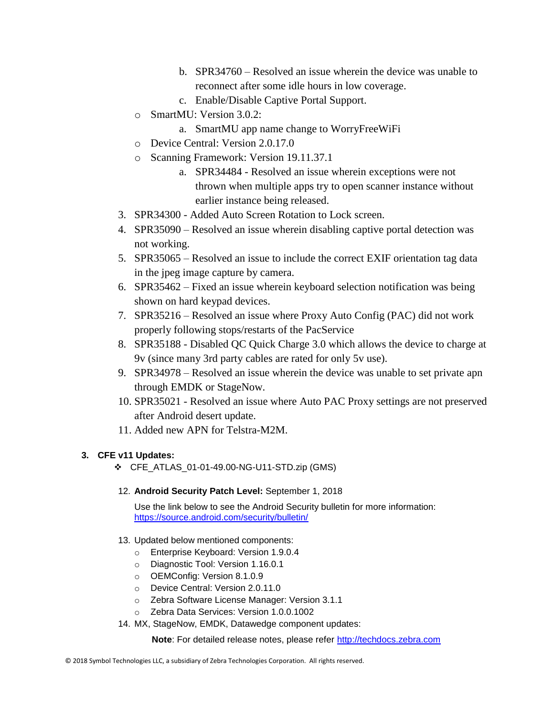- b. SPR34760 Resolved an issue wherein the device was unable to reconnect after some idle hours in low coverage.
- c. Enable/Disable Captive Portal Support.
- o SmartMU: Version 3.0.2:
	- a. SmartMU app name change to WorryFreeWiFi
- o Device Central: Version 2.0.17.0
- o Scanning Framework: Version 19.11.37.1
	- a. SPR34484 Resolved an issue wherein exceptions were not thrown when multiple apps try to open scanner instance without earlier instance being released.
- 3. SPR34300 Added Auto Screen Rotation to Lock screen.
- 4. SPR35090 Resolved an issue wherein disabling captive portal detection was not working.
- 5. SPR35065 Resolved an issue to include the correct EXIF orientation tag data in the jpeg image capture by camera.
- 6. SPR35462 Fixed an issue wherein keyboard selection notification was being shown on hard keypad devices.
- 7. SPR35216 Resolved an issue where Proxy Auto Config (PAC) did not work properly following stops/restarts of the PacService
- 8. SPR35188 Disabled QC Quick Charge 3.0 which allows the device to charge at 9v (since many 3rd party cables are rated for only 5v use).
- 9. SPR34978 Resolved an issue wherein the device was unable to set private apn through EMDK or StageNow.
- 10. SPR35021 Resolved an issue where Auto PAC Proxy settings are not preserved after Android desert update.
- 11. Added new APN for Telstra-M2M.

### **3. CFE v11 Updates:**

- ❖ CFE\_ATLAS\_01-01-49.00-NG-U11-STD.zip (GMS)
- 12. **Android Security Patch Level:** September 1, 2018

Use the link below to see the Android Security bulletin for more information: <https://source.android.com/security/bulletin/>

- 13. Updated below mentioned components:
	- o Enterprise Keyboard: Version 1.9.0.4
	- o Diagnostic Tool: Version 1.16.0.1
	- o OEMConfig: Version 8.1.0.9
	- o Device Central: Version 2.0.11.0
	- o Zebra Software License Manager: Version 3.1.1
	- o Zebra Data Services: Version 1.0.0.1002
- 14. MX, StageNow, EMDK, Datawedge component updates:

 **Note**: For detailed release notes, please refer [http://techdocs.zebra.com](http://techdocs.zebra.com/)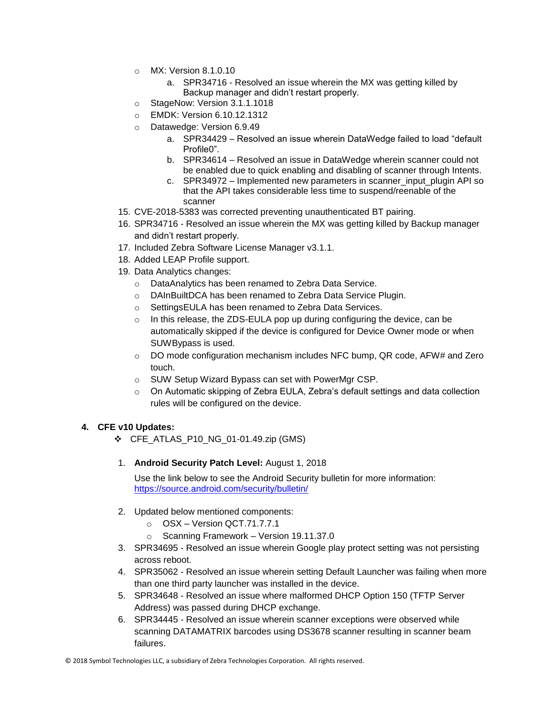- $\circ$  MX: Version 8.1.0.10
	- a. SPR34716 Resolved an issue wherein the MX was getting killed by Backup manager and didn't restart properly.
- o StageNow: Version 3.1.1.1018
- o EMDK: Version 6.10.12.1312
- o Datawedge: Version 6.9.49
	- a. SPR34429 Resolved an issue wherein DataWedge failed to load "default Profile0".
	- b. SPR34614 Resolved an issue in DataWedge wherein scanner could not be enabled due to quick enabling and disabling of scanner through Intents.
	- c. SPR34972 Implemented new parameters in scanner input plugin API so that the API takes considerable less time to suspend/reenable of the scanner
- 15. CVE-2018-5383 was corrected preventing unauthenticated BT pairing.
- 16. SPR34716 Resolved an issue wherein the MX was getting killed by Backup manager and didn't restart properly.
- 17. Included Zebra Software License Manager v3.1.1.
- 18. Added LEAP Profile support.
- 19. Data Analytics changes:
	- o DataAnalytics has been renamed to Zebra Data Service.
	- o DAInBuiltDCA has been renamed to Zebra Data Service Plugin.
	- o SettingsEULA has been renamed to Zebra Data Services.
	- $\circ$  In this release, the ZDS-EULA pop up during configuring the device, can be automatically skipped if the device is configured for Device Owner mode or when SUWBypass is used.
	- $\circ$  DO mode configuration mechanism includes NFC bump, QR code, AFW# and Zero touch.
	- o SUW Setup Wizard Bypass can set with PowerMgr CSP.
	- $\circ$  On Automatic skipping of Zebra EULA, Zebra's default settings and data collection rules will be configured on the device.

#### **4. CFE v10 Updates:**

- ❖ CFE\_ATLAS\_P10\_NG\_01-01.49.zip (GMS)
- 1. **Android Security Patch Level:** August 1, 2018

Use the link below to see the Android Security bulletin for more information: <https://source.android.com/security/bulletin/>

- 2. Updated below mentioned components:
	- o OSX Version QCT.71.7.7.1
	- o Scanning Framework Version 19.11.37.0
- 3. SPR34695 Resolved an issue wherein Google play protect setting was not persisting across reboot.
- 4. SPR35062 Resolved an issue wherein setting Default Launcher was failing when more than one third party launcher was installed in the device.
- 5. SPR34648 Resolved an issue where malformed DHCP Option 150 (TFTP Server Address) was passed during DHCP exchange.
- 6. SPR34445 Resolved an issue wherein scanner exceptions were observed while scanning DATAMATRIX barcodes using DS3678 scanner resulting in scanner beam failures.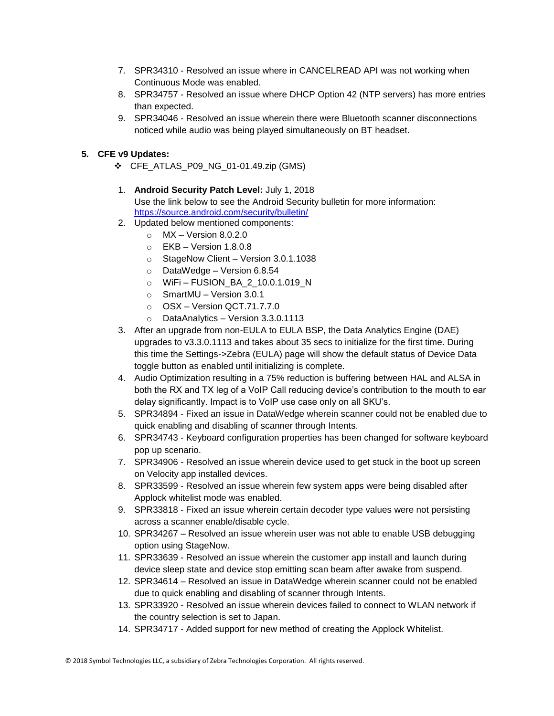- 7. SPR34310 Resolved an issue where in CANCELREAD API was not working when Continuous Mode was enabled.
- 8. SPR34757 Resolved an issue where DHCP Option 42 (NTP servers) has more entries than expected.
- 9. SPR34046 Resolved an issue wherein there were Bluetooth scanner disconnections noticed while audio was being played simultaneously on BT headset.

#### **5. CFE v9 Updates:**

- ❖ CFE\_ATLAS\_P09\_NG\_01-01.49.zip (GMS)
- 1. **Android Security Patch Level:** July 1, 2018 Use the link below to see the Android Security bulletin for more information: <https://source.android.com/security/bulletin/>
- 2. Updated below mentioned components:
	- $\circ$  MX Version 8.0.2.0
	- $\circ$  FKB Version 1.8.0.8
	- o StageNow Client Version 3.0.1.1038
	- o DataWedge Version 6.8.54
	- o WiFi FUSION\_BA\_2\_10.0.1.019\_N
	- o SmartMU Version 3.0.1
	- o OSX Version QCT.71.7.7.0
	- o DataAnalytics Version 3.3.0.1113
- 3. After an upgrade from non-EULA to EULA BSP, the Data Analytics Engine (DAE) upgrades to v3.3.0.1113 and takes about 35 secs to initialize for the first time. During this time the Settings->Zebra (EULA) page will show the default status of Device Data toggle button as enabled until initializing is complete.
- 4. Audio Optimization resulting in a 75% reduction is buffering between HAL and ALSA in both the RX and TX leg of a VoIP Call reducing device's contribution to the mouth to ear delay significantly. Impact is to VoIP use case only on all SKU's.
- 5. SPR34894 Fixed an issue in DataWedge wherein scanner could not be enabled due to quick enabling and disabling of scanner through Intents.
- 6. SPR34743 Keyboard configuration properties has been changed for software keyboard pop up scenario.
- 7. SPR34906 Resolved an issue wherein device used to get stuck in the boot up screen on Velocity app installed devices.
- 8. SPR33599 Resolved an issue wherein few system apps were being disabled after Applock whitelist mode was enabled.
- 9. SPR33818 Fixed an issue wherein certain decoder type values were not persisting across a scanner enable/disable cycle.
- 10. SPR34267 Resolved an issue wherein user was not able to enable USB debugging option using StageNow.
- 11. SPR33639 Resolved an issue wherein the customer app install and launch during device sleep state and device stop emitting scan beam after awake from suspend.
- 12. SPR34614 Resolved an issue in DataWedge wherein scanner could not be enabled due to quick enabling and disabling of scanner through Intents.
- 13. SPR33920 Resolved an issue wherein devices failed to connect to WLAN network if the country selection is set to Japan.
- 14. SPR34717 Added support for new method of creating the Applock Whitelist.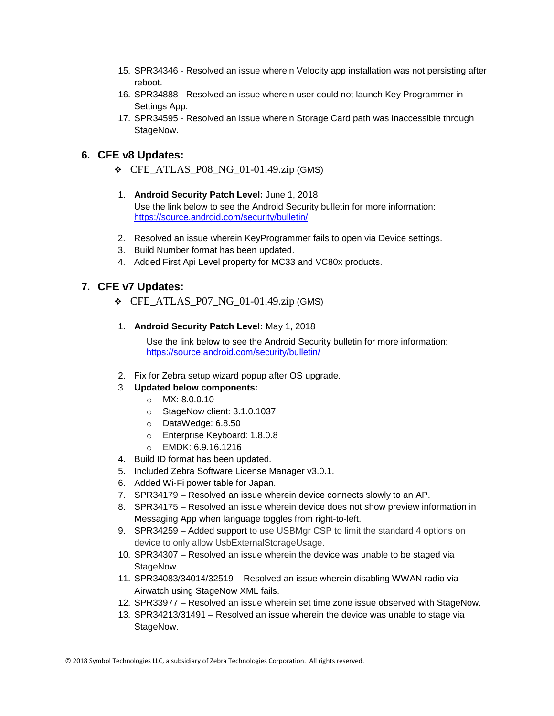- 15. SPR34346 Resolved an issue wherein Velocity app installation was not persisting after reboot.
- 16. SPR34888 Resolved an issue wherein user could not launch Key Programmer in Settings App.
- 17. SPR34595 Resolved an issue wherein Storage Card path was inaccessible through StageNow.

## **6. CFE v8 Updates:**

- $\div$  CFE\_ATLAS\_P08\_NG\_01-01.49.zip (GMS)
- 1. **Android Security Patch Level:** June 1, 2018 Use the link below to see the Android Security bulletin for more information: <https://source.android.com/security/bulletin/>
- 2. Resolved an issue wherein KeyProgrammer fails to open via Device settings.
- 3. Build Number format has been updated.
- 4. Added First Api Level property for MC33 and VC80x products.

### **7. CFE v7 Updates:**

- $\div$  CFE\_ATLAS\_P07\_NG\_01-01.49.zip (GMS)
- 1. **Android Security Patch Level:** May 1, 2018

Use the link below to see the Android Security bulletin for more information: <https://source.android.com/security/bulletin/>

2. Fix for Zebra setup wizard popup after OS upgrade.

#### 3. **Updated below components:**

- o MX: 8.0.0.10
- o StageNow client: 3.1.0.1037
- o DataWedge: 6.8.50
- o Enterprise Keyboard: 1.8.0.8
- o EMDK: 6.9.16.1216
- 4. Build ID format has been updated.
- 5. Included Zebra Software License Manager v3.0.1.
- 6. Added Wi-Fi power table for Japan.
- 7. SPR34179 Resolved an issue wherein device connects slowly to an AP.
- 8. SPR34175 Resolved an issue wherein device does not show preview information in Messaging App when language toggles from right-to-left.
- 9. SPR34259 Added support to use USBMgr CSP to limit the standard 4 options on device to only allow UsbExternalStorageUsage.
- 10. SPR34307 Resolved an issue wherein the device was unable to be staged via StageNow.
- 11. SPR34083/34014/32519 Resolved an issue wherein disabling WWAN radio via Airwatch using StageNow XML fails.
- 12. SPR33977 Resolved an issue wherein set time zone issue observed with StageNow.
- 13. SPR34213/31491 Resolved an issue wherein the device was unable to stage via StageNow.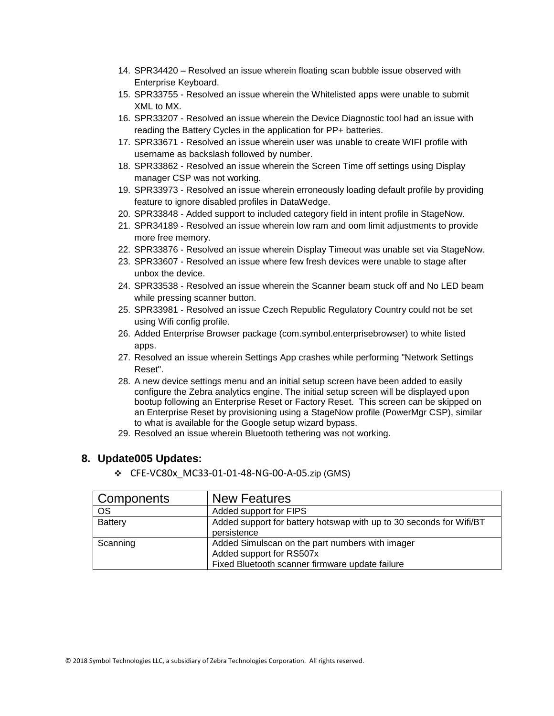- 14. SPR34420 Resolved an issue wherein floating scan bubble issue observed with Enterprise Keyboard.
- 15. SPR33755 Resolved an issue wherein the Whitelisted apps were unable to submit XML to MX.
- 16. SPR33207 Resolved an issue wherein the Device Diagnostic tool had an issue with reading the Battery Cycles in the application for PP+ batteries.
- 17. SPR33671 Resolved an issue wherein user was unable to create WIFI profile with username as backslash followed by number.
- 18. SPR33862 Resolved an issue wherein the Screen Time off settings using Display manager CSP was not working.
- 19. SPR33973 Resolved an issue wherein erroneously loading default profile by providing feature to ignore disabled profiles in DataWedge.
- 20. SPR33848 Added support to included category field in intent profile in StageNow.
- 21. SPR34189 Resolved an issue wherein low ram and oom limit adjustments to provide more free memory.
- 22. SPR33876 Resolved an issue wherein Display Timeout was unable set via StageNow.
- 23. SPR33607 Resolved an issue where few fresh devices were unable to stage after unbox the device.
- 24. SPR33538 Resolved an issue wherein the Scanner beam stuck off and No LED beam while pressing scanner button.
- 25. SPR33981 Resolved an issue Czech Republic Regulatory Country could not be set using Wifi config profile.
- 26. Added Enterprise Browser package (com.symbol.enterprisebrowser) to white listed apps.
- 27. Resolved an issue wherein Settings App crashes while performing "Network Settings Reset".
- 28. A new device settings menu and an initial setup screen have been added to easily configure the Zebra analytics engine. The initial setup screen will be displayed upon bootup following an Enterprise Reset or Factory Reset. This screen can be skipped on an Enterprise Reset by provisioning using a StageNow profile (PowerMgr CSP), similar to what is available for the Google setup wizard bypass.
- 29. Resolved an issue wherein Bluetooth tethering was not working.

#### **8. Update005 Updates:**

❖ CFE-VC80x\_MC33-01-01-48-NG-00-A-05.zip (GMS)

| Components | <b>New Features</b>                                                                                                            |
|------------|--------------------------------------------------------------------------------------------------------------------------------|
| OS         | Added support for FIPS                                                                                                         |
| Battery    | Added support for battery hotswap with up to 30 seconds for Wifi/BT<br>persistence                                             |
| Scanning   | Added Simulscan on the part numbers with imager<br>Added support for RS507x<br>Fixed Bluetooth scanner firmware update failure |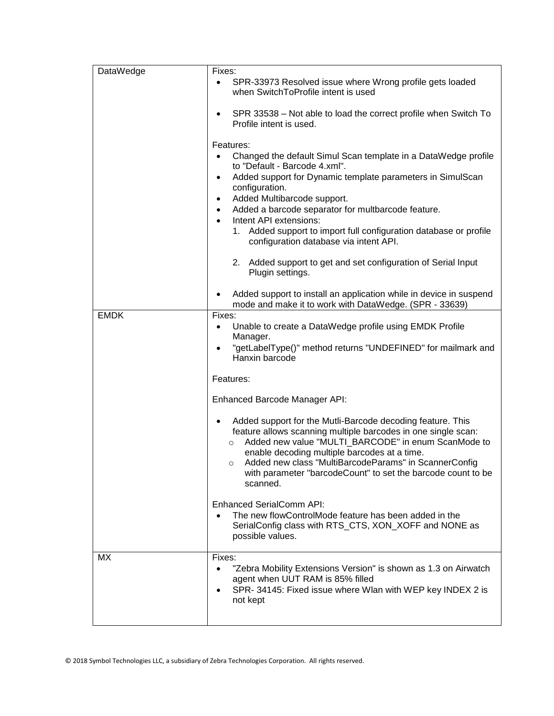| DataWedge   | Fixes:                                                                                                                                                                                                                                                                                                                                                                                        |
|-------------|-----------------------------------------------------------------------------------------------------------------------------------------------------------------------------------------------------------------------------------------------------------------------------------------------------------------------------------------------------------------------------------------------|
|             | SPR-33973 Resolved issue where Wrong profile gets loaded<br>when SwitchToProfile intent is used                                                                                                                                                                                                                                                                                               |
|             | SPR 33538 - Not able to load the correct profile when Switch To<br>Profile intent is used.                                                                                                                                                                                                                                                                                                    |
|             | Features:                                                                                                                                                                                                                                                                                                                                                                                     |
|             | Changed the default Simul Scan template in a DataWedge profile                                                                                                                                                                                                                                                                                                                                |
|             | to "Default - Barcode 4.xml".                                                                                                                                                                                                                                                                                                                                                                 |
|             | Added support for Dynamic template parameters in SimulScan<br>$\bullet$                                                                                                                                                                                                                                                                                                                       |
|             | configuration.<br>Added Multibarcode support.<br>$\bullet$                                                                                                                                                                                                                                                                                                                                    |
|             | Added a barcode separator for multbarcode feature.<br>$\bullet$                                                                                                                                                                                                                                                                                                                               |
|             | Intent API extensions:<br>$\bullet$                                                                                                                                                                                                                                                                                                                                                           |
|             | 1. Added support to import full configuration database or profile<br>configuration database via intent API.                                                                                                                                                                                                                                                                                   |
|             | 2. Added support to get and set configuration of Serial Input<br>Plugin settings.                                                                                                                                                                                                                                                                                                             |
|             | Added support to install an application while in device in suspend<br>mode and make it to work with DataWedge. (SPR - 33639)                                                                                                                                                                                                                                                                  |
| <b>EMDK</b> | Fixes:                                                                                                                                                                                                                                                                                                                                                                                        |
|             | Unable to create a DataWedge profile using EMDK Profile<br>Manager.                                                                                                                                                                                                                                                                                                                           |
|             | "getLabelType()" method returns "UNDEFINED" for mailmark and<br>$\bullet$<br>Hanxin barcode                                                                                                                                                                                                                                                                                                   |
|             | Features:                                                                                                                                                                                                                                                                                                                                                                                     |
|             | Enhanced Barcode Manager API:                                                                                                                                                                                                                                                                                                                                                                 |
|             | Added support for the Mutli-Barcode decoding feature. This<br>feature allows scanning multiple barcodes in one single scan:<br>Added new value "MULTI_BARCODE" in enum ScanMode to<br>$\circ$<br>enable decoding multiple barcodes at a time.<br>Added new class "MultiBarcodeParams" in ScannerConfig<br>$\circ$<br>with parameter "barcodeCount" to set the barcode count to be<br>scanned. |
|             | <b>Enhanced SerialComm API:</b><br>The new flowControlMode feature has been added in the<br>SerialConfig class with RTS_CTS, XON_XOFF and NONE as<br>possible values.                                                                                                                                                                                                                         |
| МX          | Fixes:                                                                                                                                                                                                                                                                                                                                                                                        |
|             | "Zebra Mobility Extensions Version" is shown as 1.3 on Airwatch<br>agent when UUT RAM is 85% filled<br>SPR-34145: Fixed issue where Wlan with WEP key INDEX 2 is<br>not kept                                                                                                                                                                                                                  |
|             |                                                                                                                                                                                                                                                                                                                                                                                               |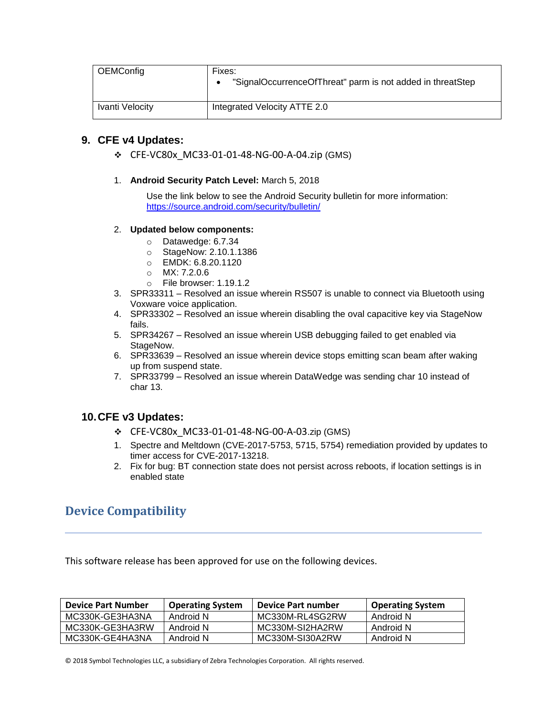| <b>OEMConfig</b> | Fixes:<br>"SignalOccurrenceOfThreat" parm is not added in threatStep |
|------------------|----------------------------------------------------------------------|
| Ivanti Velocity  | Integrated Velocity ATTE 2.0                                         |

### **9. CFE v4 Updates:**

- ❖ CFE-VC80x\_MC33-01-01-48-NG-00-A-04.zip (GMS)
- 1. **Android Security Patch Level:** March 5, 2018

Use the link below to see the Android Security bulletin for more information: <https://source.android.com/security/bulletin/>

#### 2. **Updated below components:**

- o Datawedge: 6.7.34
- o StageNow: 2.10.1.1386
- o EMDK: 6.8.20.1120
- o MX: 7.2.0.6
- o File browser: 1.19.1.2
- 3. SPR33311 Resolved an issue wherein RS507 is unable to connect via Bluetooth using Voxware voice application.
- 4. SPR33302 Resolved an issue wherein disabling the oval capacitive key via StageNow fails.
- 5. SPR34267 Resolved an issue wherein USB debugging failed to get enabled via StageNow.
- 6. SPR33639 Resolved an issue wherein device stops emitting scan beam after waking up from suspend state.
- 7. SPR33799 Resolved an issue wherein DataWedge was sending char 10 instead of char 13.

### **10.CFE v3 Updates:**

- ❖ CFE-VC80x\_MC33-01-01-48-NG-00-A-03.zip (GMS)
- 1. Spectre and Meltdown (CVE-2017-5753, 5715, 5754) remediation provided by updates to timer access for CVE-2017-13218.
- 2. Fix for bug: BT connection state does not persist across reboots, if location settings is in enabled state

# <span id="page-10-0"></span>**Device Compatibility**

This software release has been approved for use on the following devices.

| <b>Device Part Number</b> | <b>Operating System</b> | Device Part number | <b>Operating System</b> |
|---------------------------|-------------------------|--------------------|-------------------------|
| MC330K-GE3HA3NA           | Android N               | MC330M-RL4SG2RW    | Android N               |
| MC330K-GE3HA3RW           | Android N               | MC330M-SI2HA2RW    | Android N               |
| MC330K-GE4HA3NA           | Android N               | MC330M-SI30A2RW    | Android N               |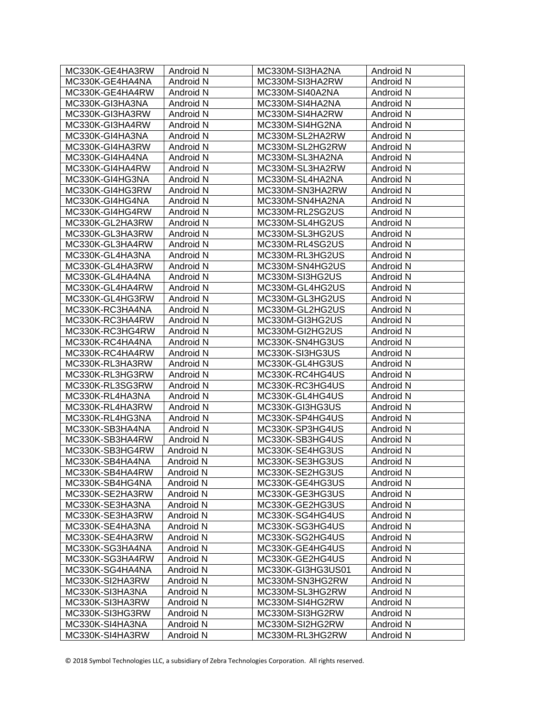| MC330K-GE4HA3RW | Android N        | MC330M-SI3HA2NA   | Android N |
|-----------------|------------------|-------------------|-----------|
| MC330K-GE4HA4NA | Android N        | MC330M-SI3HA2RW   | Android N |
| MC330K-GE4HA4RW | Android N        | MC330M-SI40A2NA   | Android N |
| MC330K-GI3HA3NA | Android N        | MC330M-SI4HA2NA   | Android N |
| MC330K-GI3HA3RW | Android N        | MC330M-SI4HA2RW   | Android N |
| MC330K-GI3HA4RW | Android N        | MC330M-SI4HG2NA   | Android N |
| MC330K-GI4HA3NA | Android N        | MC330M-SL2HA2RW   | Android N |
| MC330K-GI4HA3RW | Android N        | MC330M-SL2HG2RW   | Android N |
| MC330K-GI4HA4NA | Android N        | MC330M-SL3HA2NA   | Android N |
| MC330K-GI4HA4RW | Android N        | MC330M-SL3HA2RW   | Android N |
| MC330K-GI4HG3NA | Android N        | MC330M-SL4HA2NA   | Android N |
| MC330K-GI4HG3RW | Android N        | MC330M-SN3HA2RW   | Android N |
| MC330K-GI4HG4NA | Android N        | MC330M-SN4HA2NA   | Android N |
| MC330K-GI4HG4RW | Android N        | MC330M-RL2SG2US   | Android N |
| MC330K-GL2HA3RW | Android N        | MC330M-SL4HG2US   | Android N |
| MC330K-GL3HA3RW | Android N        | MC330M-SL3HG2US   | Android N |
| MC330K-GL3HA4RW | Android N        | MC330M-RL4SG2US   | Android N |
| MC330K-GL4HA3NA | Android N        | MC330M-RL3HG2US   | Android N |
| MC330K-GL4HA3RW | Android N        | MC330M-SN4HG2US   | Android N |
| MC330K-GL4HA4NA | Android N        | MC330M-SI3HG2US   | Android N |
| MC330K-GL4HA4RW | Android N        | MC330M-GL4HG2US   | Android N |
| MC330K-GL4HG3RW | Android N        | MC330M-GL3HG2US   | Android N |
| MC330K-RC3HA4NA | Android N        | MC330M-GL2HG2US   | Android N |
| MC330K-RC3HA4RW | Android N        | MC330M-GI3HG2US   | Android N |
| MC330K-RC3HG4RW | Android N        | MC330M-GI2HG2US   | Android N |
| MC330K-RC4HA4NA | Android N        | MC330K-SN4HG3US   | Android N |
| MC330K-RC4HA4RW | Android N        | MC330K-SI3HG3US   | Android N |
| MC330K-RL3HA3RW | Android N        | MC330K-GL4HG3US   | Android N |
| MC330K-RL3HG3RW | Android N        | MC330K-RC4HG4US   | Android N |
| MC330K-RL3SG3RW | Android N        | MC330K-RC3HG4US   | Android N |
| MC330K-RL4HA3NA | Android N        | MC330K-GL4HG4US   | Android N |
| MC330K-RL4HA3RW | Android N        | MC330K-GI3HG3US   | Android N |
| MC330K-RL4HG3NA | Android N        | MC330K-SP4HG4US   | Android N |
| MC330K-SB3HA4NA | Android N        | MC330K-SP3HG4US   | Android N |
| MC330K-SB3HA4RW | Android N        | MC330K-SB3HG4US   | Android N |
| MC330K-SB3HG4RW | Android N        | MC330K-SE4HG3US   | Android N |
| MC330K-SB4HA4NA | Android N        | MC330K-SE3HG3US   | Android N |
| MC330K-SB4HA4RW | <b>Android N</b> | MC330K-SE2HG3US   | Android N |
| MC330K-SB4HG4NA | Android N        | MC330K-GE4HG3US   | Android N |
| MC330K-SE2HA3RW | Android N        | MC330K-GE3HG3US   | Android N |
| MC330K-SE3HA3NA | Android N        | MC330K-GE2HG3US   | Android N |
| MC330K-SE3HA3RW | Android N        | MC330K-SG4HG4US   | Android N |
| MC330K-SE4HA3NA | Android N        | MC330K-SG3HG4US   | Android N |
| MC330K-SE4HA3RW | Android N        | MC330K-SG2HG4US   | Android N |
| MC330K-SG3HA4NA | Android N        | MC330K-GE4HG4US   | Android N |
| MC330K-SG3HA4RW | Android N        | MC330K-GE2HG4US   | Android N |
| MC330K-SG4HA4NA | Android N        | MC330K-GI3HG3US01 | Android N |
| MC330K-SI2HA3RW | Android N        | MC330M-SN3HG2RW   | Android N |
| MC330K-SI3HA3NA | Android N        | MC330M-SL3HG2RW   | Android N |
| MC330K-SI3HA3RW | Android N        | MC330M-SI4HG2RW   | Android N |
| MC330K-SI3HG3RW | Android N        | MC330M-SI3HG2RW   | Android N |
| MC330K-SI4HA3NA | Android N        | MC330M-SI2HG2RW   | Android N |
| MC330K-SI4HA3RW | Android N        | MC330M-RL3HG2RW   | Android N |
|                 |                  |                   |           |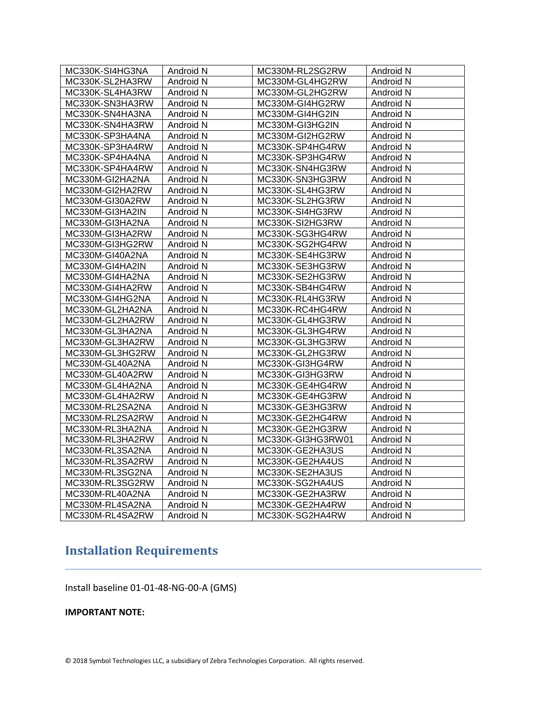| MC330K-SI4HG3NA | Android N | MC330M-RL2SG2RW   | Android N |
|-----------------|-----------|-------------------|-----------|
| MC330K-SL2HA3RW | Android N | MC330M-GL4HG2RW   | Android N |
| MC330K-SL4HA3RW | Android N | MC330M-GL2HG2RW   | Android N |
| MC330K-SN3HA3RW | Android N | MC330M-GI4HG2RW   | Android N |
| MC330K-SN4HA3NA | Android N | MC330M-GI4HG2IN   | Android N |
| MC330K-SN4HA3RW | Android N | MC330M-GI3HG2IN   | Android N |
| MC330K-SP3HA4NA | Android N | MC330M-GI2HG2RW   | Android N |
| MC330K-SP3HA4RW | Android N | MC330K-SP4HG4RW   | Android N |
| MC330K-SP4HA4NA | Android N | MC330K-SP3HG4RW   | Android N |
| MC330K-SP4HA4RW | Android N | MC330K-SN4HG3RW   | Android N |
| MC330M-GI2HA2NA | Android N | MC330K-SN3HG3RW   | Android N |
| MC330M-GI2HA2RW | Android N | MC330K-SL4HG3RW   | Android N |
| MC330M-GI30A2RW | Android N | MC330K-SL2HG3RW   | Android N |
| MC330M-GI3HA2IN | Android N | MC330K-SI4HG3RW   | Android N |
| MC330M-GI3HA2NA | Android N | MC330K-SI2HG3RW   | Android N |
| MC330M-GI3HA2RW | Android N | MC330K-SG3HG4RW   | Android N |
| MC330M-GI3HG2RW | Android N | MC330K-SG2HG4RW   | Android N |
| MC330M-GI40A2NA | Android N | MC330K-SE4HG3RW   | Android N |
| MC330M-GI4HA2IN | Android N | MC330K-SE3HG3RW   | Android N |
| MC330M-GI4HA2NA | Android N | MC330K-SE2HG3RW   | Android N |
| MC330M-GI4HA2RW | Android N | MC330K-SB4HG4RW   | Android N |
| MC330M-GI4HG2NA | Android N | MC330K-RL4HG3RW   | Android N |
| MC330M-GL2HA2NA | Android N | MC330K-RC4HG4RW   | Android N |
| MC330M-GL2HA2RW | Android N | MC330K-GL4HG3RW   | Android N |
| MC330M-GL3HA2NA | Android N | MC330K-GL3HG4RW   | Android N |
| MC330M-GL3HA2RW | Android N | MC330K-GL3HG3RW   | Android N |
| MC330M-GL3HG2RW | Android N | MC330K-GL2HG3RW   | Android N |
| MC330M-GL40A2NA | Android N | MC330K-GI3HG4RW   | Android N |
| MC330M-GL40A2RW | Android N | MC330K-GI3HG3RW   | Android N |
| MC330M-GL4HA2NA | Android N | MC330K-GE4HG4RW   | Android N |
| MC330M-GL4HA2RW | Android N | MC330K-GE4HG3RW   | Android N |
| MC330M-RL2SA2NA | Android N | MC330K-GE3HG3RW   | Android N |
| MC330M-RL2SA2RW | Android N | MC330K-GE2HG4RW   | Android N |
| MC330M-RL3HA2NA | Android N | MC330K-GE2HG3RW   | Android N |
| MC330M-RL3HA2RW | Android N | MC330K-GI3HG3RW01 | Android N |
| MC330M-RL3SA2NA | Android N | MC330K-GE2HA3US   | Android N |
| MC330M-RL3SA2RW | Android N | MC330K-GE2HA4US   | Android N |
| MC330M-RL3SG2NA | Android N | MC330K-SE2HA3US   | Android N |
| MC330M-RL3SG2RW | Android N | MC330K-SG2HA4US   | Android N |
| MC330M-RL40A2NA | Android N | MC330K-GE2HA3RW   | Android N |
| MC330M-RL4SA2NA | Android N | MC330K-GE2HA4RW   | Android N |
| MC330M-RL4SA2RW | Android N | MC330K-SG2HA4RW   | Android N |

# <span id="page-12-0"></span>**Installation Requirements**

Install baseline 01-01-48-NG-00-A (GMS)

**IMPORTANT NOTE:**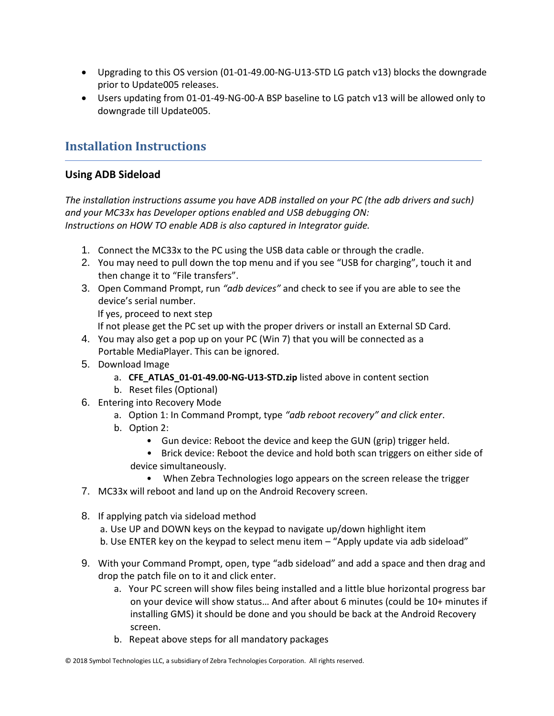- Upgrading to this OS version (01-01-49.00-NG-U13-STD LG patch v13) blocks the downgrade prior to Update005 releases.
- Users updating from 01-01-49-NG-00-A BSP baseline to LG patch v13 will be allowed only to downgrade till Update005.

# <span id="page-13-0"></span>**Installation Instructions**

## **Using ADB Sideload**

*The installation instructions assume you have ADB installed on your PC (the adb drivers and such) and your MC33x has Developer options enabled and USB debugging ON: Instructions on HOW TO enable ADB is also captured in Integrator guide.*

- 1. Connect the MC33x to the PC using the USB data cable or through the cradle.
- 2. You may need to pull down the top menu and if you see "USB for charging", touch it and then change it to "File transfers".
- 3. Open Command Prompt, run *"adb devices"* and check to see if you are able to see the device's serial number.

If yes, proceed to next step

If not please get the PC set up with the proper drivers or install an External SD Card.

- 4. You may also get a pop up on your PC (Win 7) that you will be connected as a Portable MediaPlayer. This can be ignored.
- 5. Download Image
	- a. **CFE\_ATLAS\_01-01-49.00-NG-U13-STD.zip** listed above in content section
	- b. Reset files (Optional)
- 6. Entering into Recovery Mode
	- a. Option 1: In Command Prompt, type *"adb reboot recovery" and click enter*.
	- b. Option 2:
		- Gun device: Reboot the device and keep the GUN (grip) trigger held.
		- Brick device: Reboot the device and hold both scan triggers on either side of device simultaneously.
			- When Zebra Technologies logo appears on the screen release the trigger
- 7. MC33x will reboot and land up on the Android Recovery screen.
- 8. If applying patch via sideload method
	- a. Use UP and DOWN keys on the keypad to navigate up/down highlight item b. Use ENTER key on the keypad to select menu item – "Apply update via adb sideload"
- 9. With your Command Prompt, open, type "adb sideload" and add a space and then drag and drop the patch file on to it and click enter.
	- a. Your PC screen will show files being installed and a little blue horizontal progress bar on your device will show status… And after about 6 minutes (could be 10+ minutes if installing GMS) it should be done and you should be back at the Android Recovery screen.
	- b. Repeat above steps for all mandatory packages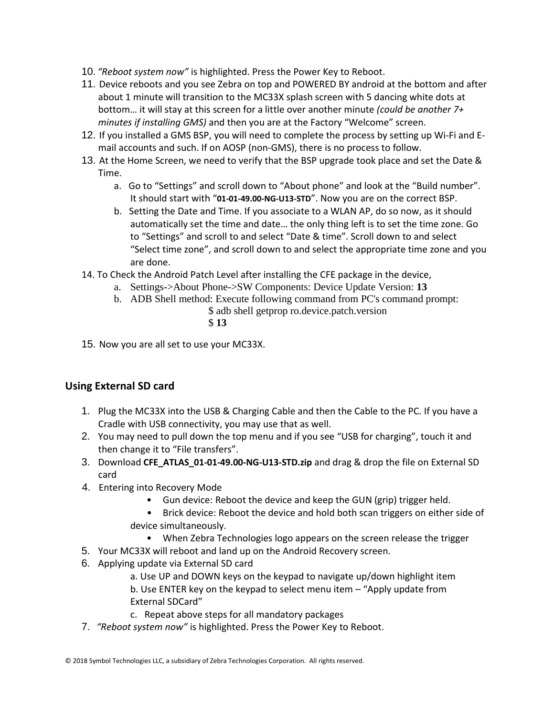- 10. *"Reboot system now"* is highlighted. Press the Power Key to Reboot.
- 11. Device reboots and you see Zebra on top and POWERED BY android at the bottom and after about 1 minute will transition to the MC33X splash screen with 5 dancing white dots at bottom… it will stay at this screen for a little over another minute *(could be another 7+ minutes if installing GMS)* and then you are at the Factory "Welcome" screen.
- 12. If you installed a GMS BSP, you will need to complete the process by setting up Wi‐Fi and E‐ mail accounts and such. If on AOSP (non‐GMS), there is no process to follow.
- 13. At the Home Screen, we need to verify that the BSP upgrade took place and set the Date & Time.
	- a. Go to "Settings" and scroll down to "About phone" and look at the "Build number". It should start with "**01-01-49.00-NG-U13-STD**". Now you are on the correct BSP.
	- b. Setting the Date and Time. If you associate to a WLAN AP, do so now, as it should automatically set the time and date… the only thing left is to set the time zone. Go to "Settings" and scroll to and select "Date & time". Scroll down to and select "Select time zone", and scroll down to and select the appropriate time zone and you are done.
- 14. To Check the Android Patch Level after installing the CFE package in the device,
	- a. Settings->About Phone->SW Components: Device Update Version: **13**
		- b. ADB Shell method: Execute following command from PC's command prompt:
			- \$ adb shell getprop ro.device.patch.version \$ **13**
- 15. Now you are all set to use your MC33X.

# **Using External SD card**

- 1. Plug the MC33X into the USB & Charging Cable and then the Cable to the PC. If you have a Cradle with USB connectivity, you may use that as well.
- 2. You may need to pull down the top menu and if you see "USB for charging", touch it and then change it to "File transfers".
- 3. Download **CFE\_ATLAS\_01-01-49.00-NG-U13-STD.zip** and drag & drop the file on External SD card
- 4. Entering into Recovery Mode
	- Gun device: Reboot the device and keep the GUN (grip) trigger held.
	- Brick device: Reboot the device and hold both scan triggers on either side of device simultaneously.
		- When Zebra Technologies logo appears on the screen release the trigger
- 5. Your MC33X will reboot and land up on the Android Recovery screen.
- 6. Applying update via External SD card
	- a. Use UP and DOWN keys on the keypad to navigate up/down highlight item b. Use ENTER key on the keypad to select menu item – "Apply update from External SDCard"
	- c. Repeat above steps for all mandatory packages
- 7. *"Reboot system now"* is highlighted. Press the Power Key to Reboot.